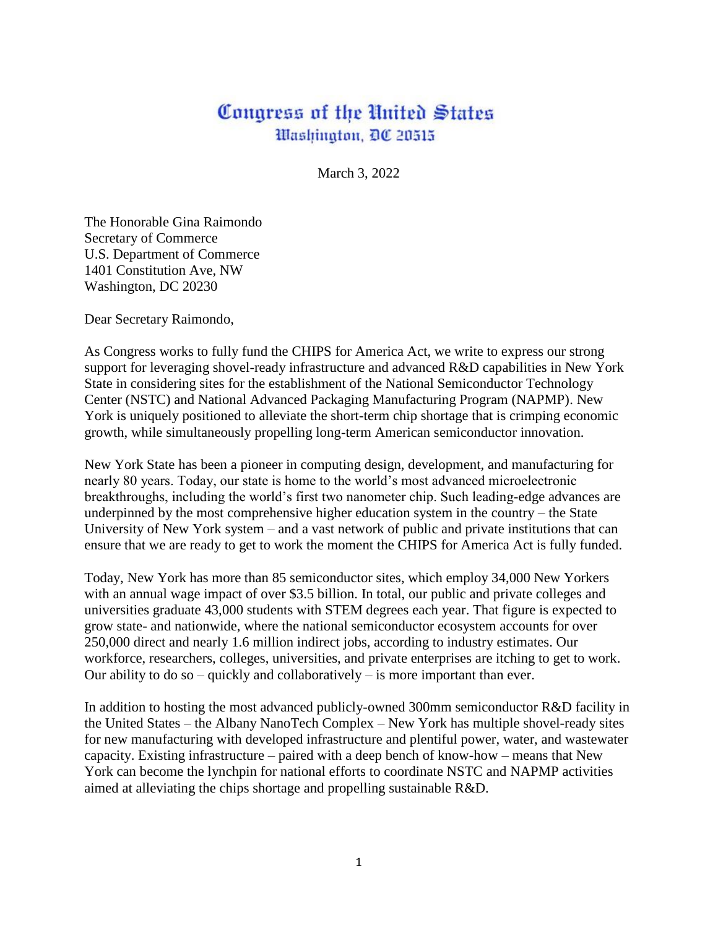## Congress of the United States Washington, DC 20515

March 3, 2022

The Honorable Gina Raimondo Secretary of Commerce U.S. Department of Commerce 1401 Constitution Ave, NW Washington, DC 20230

Dear Secretary Raimondo,

As Congress works to fully fund the CHIPS for America Act, we write to express our strong support for leveraging shovel-ready infrastructure and advanced R&D capabilities in New York State in considering sites for the establishment of the National Semiconductor Technology Center (NSTC) and National Advanced Packaging Manufacturing Program (NAPMP). New York is uniquely positioned to alleviate the short-term chip shortage that is crimping economic growth, while simultaneously propelling long-term American semiconductor innovation.

New York State has been a pioneer in computing design, development, and manufacturing for nearly 80 years. Today, our state is home to the world's most advanced microelectronic breakthroughs, including the world's first two nanometer chip. Such leading-edge advances are underpinned by the most comprehensive higher education system in the country – the State University of New York system – and a vast network of public and private institutions that can ensure that we are ready to get to work the moment the CHIPS for America Act is fully funded.

Today, New York has more than 85 semiconductor sites, which employ 34,000 New Yorkers with an annual wage impact of over \$3.5 billion. In total, our public and private colleges and universities graduate 43,000 students with STEM degrees each year. That figure is expected to grow state- and nationwide, where the national semiconductor ecosystem accounts for over 250,000 direct and nearly 1.6 million indirect jobs, according to industry estimates. Our workforce, researchers, colleges, universities, and private enterprises are itching to get to work. Our ability to do so – quickly and collaboratively – is more important than ever.

In addition to hosting the most advanced publicly-owned 300mm semiconductor R&D facility in the United States – the Albany NanoTech Complex – New York has multiple shovel-ready sites for new manufacturing with developed infrastructure and plentiful power, water, and wastewater capacity. Existing infrastructure – paired with a deep bench of know-how – means that New York can become the lynchpin for national efforts to coordinate NSTC and NAPMP activities aimed at alleviating the chips shortage and propelling sustainable R&D.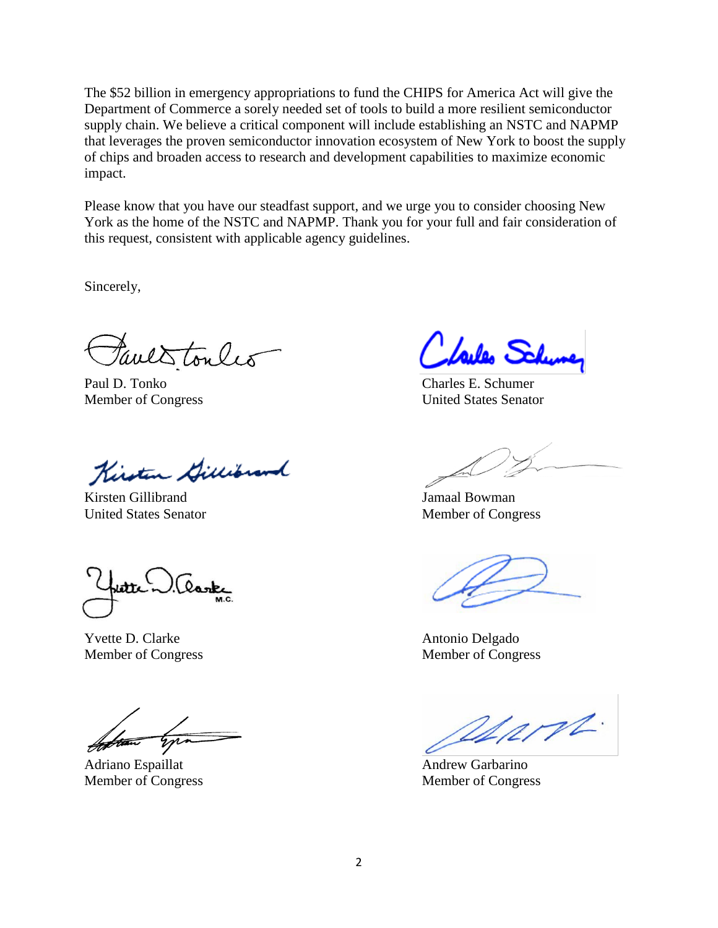The \$52 billion in emergency appropriations to fund the CHIPS for America Act will give the Department of Commerce a sorely needed set of tools to build a more resilient semiconductor supply chain. We believe a critical component will include establishing an NSTC and NAPMP that leverages the proven semiconductor innovation ecosystem of New York to boost the supply of chips and broaden access to research and development capabilities to maximize economic impact.

Please know that you have our steadfast support, and we urge you to consider choosing New York as the home of the NSTC and NAPMP. Thank you for your full and fair consideration of this request, consistent with applicable agency guidelines.

Sincerely,

Faves tonles

Paul D. Tonko Charles E. Schumer

Kirsten Gillibrand

Kirsten Gillibrand Jamaal Bowman United States Senator Member of Congress

lask)

Yvette D. Clarke Antonio Delgado

Adriano Espaillat Andrew Garbarino

failes Schune,

Member of Congress United States Senator

Member of Congress Member of Congress

alart.

Member of Congress Member of Congress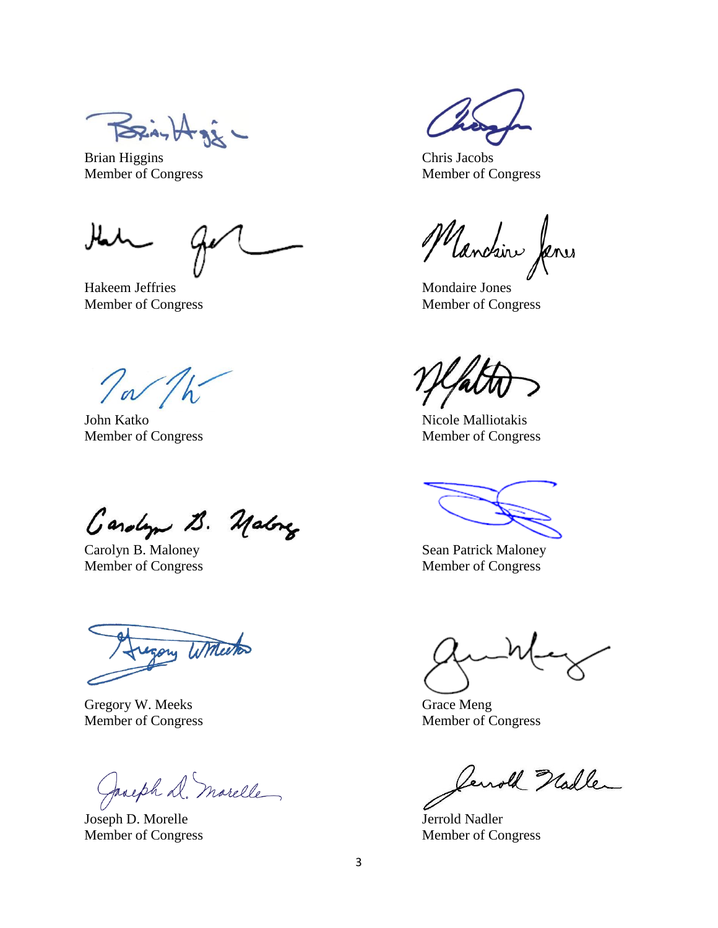$\beta$ 

Brian Higgins Chris Jacobs Member of Congress Member of Congress

Hakeem Jeffries Mondaire Jones Member of Congress Member of Congress

To The

John Katko Nicole Malliotakis

Carolyn B. Malong

Carolyn B. Maloney Sean Patrick Maloney

my Witherton

Gregory W. Meeks Grace Meng

Jacoph D. marelle

Joseph D. Morelle Jerrold Nadler Member of Congress Member of Congress

Manchin Janes

Member of Congress Member of Congress

Member of Congress Member of Congress

Member of Congress Member of Congress

Jewold Hadler